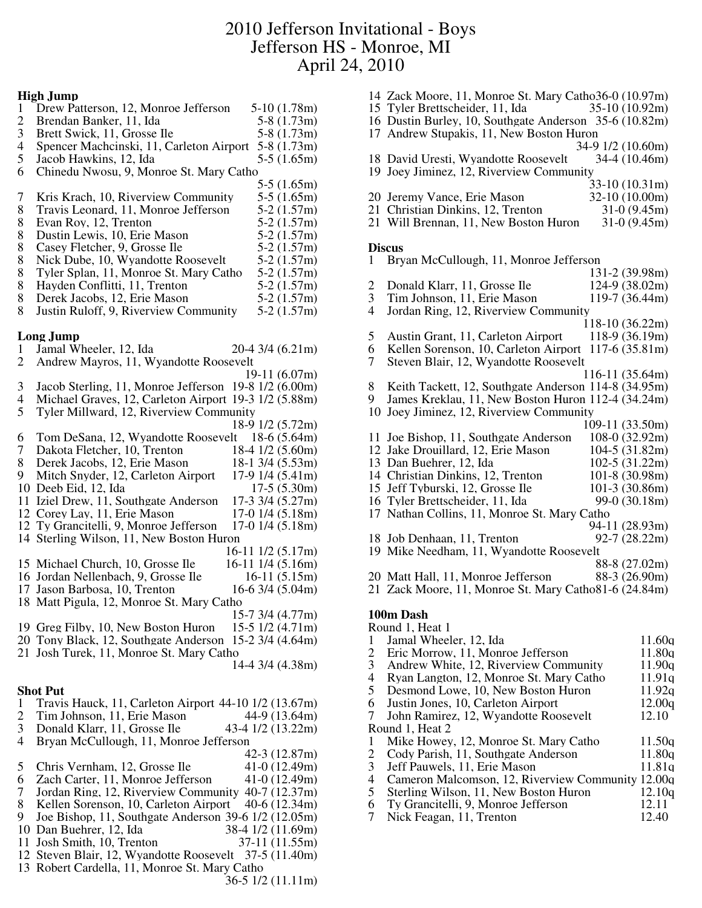# 2010 Jefferson Invitational - Boys Jefferson HS - Monroe, MI April 24, 2010

#### **High Jump**

| $\mathbf{1}$             | Drew Patterson, 12, Monroe Jefferson                  | $5-10(1.78m)$          |
|--------------------------|-------------------------------------------------------|------------------------|
| $\overline{\mathbf{c}}$  | Brendan Banker, 11, Ida                               | $5-8(1.73m)$           |
| 3                        | Brett Swick, 11, Grosse Ile                           | $5-8(1.73m)$           |
| $\overline{\mathcal{A}}$ | Spencer Machcinski, 11, Carleton Airport              | $5-8(1.73m)$           |
| 5                        | Jacob Hawkins, 12, Ida                                | $5-5(1.65m)$           |
| 6                        | Chinedu Nwosu, 9, Monroe St. Mary Catho               |                        |
|                          |                                                       | $5-5(1.65m)$           |
| 7                        | Kris Krach, 10, Riverview Community                   | $5-5(1.65m)$           |
| 8                        | Travis Leonard, 11, Monroe Jefferson                  | $5-2(1.57m)$           |
| 8                        | Evan Roy, 12, Trenton                                 | $5-2(1.57m)$           |
| 8                        | Dustin Lewis, 10, Erie Mason                          | $5-2(1.57m)$           |
| 8                        | Casey Fletcher, 9, Grosse Ile                         | $5-2(1.57m)$           |
| 8                        | Nick Dube, 10, Wyandotte Roosevelt                    | $5-2(1.57m)$           |
| 8                        |                                                       |                        |
|                          | Tyler Splan, 11, Monroe St. Mary Catho                | $5-2(1.57m)$           |
| 8                        | Hayden Conflitti, 11, Trenton                         | $5-2(1.57m)$           |
| 8                        | Derek Jacobs, 12, Erie Mason                          | $5-2(1.57m)$           |
| 8                        | Justin Ruloff, 9, Riverview Community                 | $5-2(1.57m)$           |
|                          | <b>Long Jump</b>                                      |                        |
| 1                        | Jamal Wheeler, 12, Ida                                | 20-4 3/4 (6.21m)       |
| $\overline{2}$           | Andrew Mayros, 11, Wyandotte Roosevelt                |                        |
|                          |                                                       | $19-11(6.07m)$         |
|                          |                                                       |                        |
| 3                        | Jacob Sterling, 11, Monroe Jefferson 19-8 1/2 (6.00m) |                        |
| 4                        | Michael Graves, 12, Carleton Airport 19-3 1/2 (5.88m) |                        |
| 5                        | Tyler Millward, 12, Riverview Community               |                        |
|                          |                                                       | 18-9 1/2 (5.72m)       |
| 6                        | Tom DeSana, 12, Wyandotte Roosevelt 18-6 (5.64m)      |                        |
| 7                        | Dakota Fletcher, 10, Trenton                          | 18-4 1/2 (5.60m)       |
| 8                        | Derek Jacobs, 12, Erie Mason                          | 18-1 3/4 (5.53m)       |
| 9                        | Mitch Snyder, 12, Carleton Airport                    | 17-9 1/4 (5.41m)       |
| 10                       | Deeb Eid, 12, Ida                                     | $17-5(5.30m)$          |
| 11                       | Iziel Drew, 11, Southgate Anderson                    | 17-3 3/4 (5.27m)       |
|                          | 12 Corey Lay, 11, Erie Mason                          | $17-0$ $1/4$ $(5.18m)$ |
| 12                       | Ty Grancitelli, 9, Monroe Jefferson                   | 17-0 1/4 (5.18m)       |
| 14                       | Sterling Wilson, 11, New Boston Huron                 |                        |
|                          |                                                       | 16-11 1/2 (5.17m)      |
|                          | 15 Michael Church, 10, Grosse Ile                     |                        |
|                          |                                                       | 16-11 1/4 (5.16m)      |
|                          | 16 Jordan Nellenbach, 9, Grosse Ile                   | $16-11(5.15m)$         |
|                          | 17 Jason Barbosa, 10, Trenton                         | $16-6$ 3/4 $(5.04m)$   |
|                          | 18 Matt Pigula, 12, Monroe St. Mary Catho             |                        |
|                          |                                                       | $15-7$ 3/4 (4.77m)     |
|                          | 19 Greg Filby, 10, New Boston Huron                   | $15-5$ $1/2$ $(4.71m)$ |
|                          | 20 Tony Black, 12, Southgate Anderson                 | $15-2$ 3/4 (4.64m)     |
|                          | 21 Josh Turek, 11, Monroe St. Mary Catho              |                        |
|                          |                                                       | 14-4 3/4 (4.38m)       |
|                          |                                                       |                        |
|                          | <b>Shot Put</b>                                       |                        |
| $\mathbf{1}$             | Travis Hauck, 11, Carleton Airport 44-10 1/2 (13.67m) |                        |
| 2                        | Tim Johnson, 11, Erie Mason                           | 44-9 (13.64m)          |
| 3                        | Donald Klarr, 11, Grosse Ile                          | 43-4 1/2 (13.22m)      |
| 4                        | Bryan McCullough, 11, Monroe Jefferson                |                        |
|                          |                                                       | $42-3(12.87m)$         |
| 5                        | Chris Vernham, 12, Grosse Ile                         | $41-0(12.49m)$         |
| 6                        | Zach Carter, 11, Monroe Jefferson                     | $41-0(12.49m)$         |
|                          |                                                       |                        |
| 7                        | Jordan Ring, 12, Riverview Community 40-7 (12.37m)    |                        |
| 8                        | Kellen Sorenson, 10, Carleton Airport                 | $40-6(12.34m)$         |
| 9                        | Joe Bishop, 11, Southgate Anderson 39-6 1/2 (12.05m)  |                        |
| 10                       | Dan Buehrer, 12, Ida                                  | 38-4 1/2 (11.69m)      |
| 11                       | Josh Smith, 10, Trenton                               | 37-11 (11.55m)         |

Steven Blair, 12, Wyandotte Roosevelt 37-5 (11.40m)

36-5 1/2 (11.11m)

Robert Cardella, 11, Monroe St. Mary Catho

- Zack Moore, 11, Monroe St. Mary Catho36-0 (10.97m)
- 15 Tyler Brettscheider, 11, Ida
- Dustin Burley, 10, Southgate Anderson 35-6 (10.82m)
- Andrew Stupakis, 11, New Boston Huron
- 34-9 1/2 (10.60m)<br>34-4 (10.46m) 18 David Uresti, Wyandotte Roosevelt
- Joey Jiminez, 12, Riverview Community

|                              | $33-10(10.31m)$ |
|------------------------------|-----------------|
| $00$ Laramy Vanaa Eria Maaan | 22.10(10.00)    |

- 20 Jeremy Vance, Erie Mason 32-10 (10.00m)<br>21 Christian Dinkins, 12, Trenton 31-0 (9.45m)
- 21 Christian Dinkins, 12, Trenton 31-0 (9.45m)<br>21 Will Brennan, 11, New Boston Huron 31-0 (9.45m) 21 Will Brennan, 11, New Boston Huron

#### **Discus**

Bryan McCullough, 11, Monroe Jefferson

| Ŧ.             | DI yan MCCunough, 11, MONIOC JEHEISON                 |                  |
|----------------|-------------------------------------------------------|------------------|
|                |                                                       | $131-2(39.98m)$  |
| $\overline{c}$ | Donald Klarr, 11, Grosse Ile                          | $124-9(38.02m)$  |
| 3              | Tim Johnson, 11, Erie Mason                           | 119-7 (36.44m)   |
| 4              | Jordan Ring, 12, Riverview Community                  |                  |
|                |                                                       | 118-10 (36.22m)  |
| 5              | Austin Grant, 11, Carleton Airport 118-9 (36.19m)     |                  |
| 6              | Kellen Sorenson, 10, Carleton Airport 117-6 (35.81m)  |                  |
| 7              | Steven Blair, 12, Wyandotte Roosevelt                 |                  |
|                |                                                       | $116-11(35.64m)$ |
| 8              | Keith Tackett, 12, Southgate Anderson 114-8 (34.95m)  |                  |
| 9              | James Kreklau, 11, New Boston Huron 112-4 (34.24m)    |                  |
| 10             | Joey Jiminez, 12, Riverview Community                 |                  |
|                |                                                       | 109-11 (33.50m)  |
|                | 11 Joe Bishop, 11, Southgate Anderson                 | $108-0(32.92m)$  |
|                | 12 Jake Drouillard, 12, Erie Mason                    | $104-5(31.82m)$  |
|                | 13 Dan Buehrer, 12, Ida                               | $102-5(31.22m)$  |
|                | 14 Christian Dinkins, 12, Trenton                     | $101-8(30.98m)$  |
|                | 15 Jeff Tyburski, 12, Grosse Ile                      | $101-3(30.86m)$  |
|                | 16 Tyler Brettscheider, 11, Ida                       | 99-0 (30.18m)    |
|                | 17 Nathan Collins, 11, Monroe St. Mary Catho          |                  |
|                |                                                       | 94-11 (28.93m)   |
|                | 18 Job Denhaan, 11, Trenton                           | $92-7(28.22m)$   |
|                | 19 Mike Needham, 11, Wyandotte Roosevelt              |                  |
|                |                                                       | 88-8 (27.02m)    |
|                | 20 Matt Hall, 11, Monroe Jefferson                    | 88-3 (26.90m)    |
|                | 21 Zack Moore, 11, Monroe St. Mary Catho81-6 (24.84m) |                  |
|                |                                                       |                  |

### **100m Dash**

|   | Round 1, Heat 1                                   |        |
|---|---------------------------------------------------|--------|
|   | Jamal Wheeler, 12, Ida                            | 11.60q |
| 2 | Eric Morrow, 11, Monroe Jefferson                 | 11.80q |
| 3 | Andrew White, 12, Riverview Community             | 11.90q |
| 4 | Ryan Langton, 12, Monroe St. Mary Catho           | 11.91q |
| 5 | Desmond Lowe, 10, New Boston Huron                | 11.92q |
| 6 | Justin Jones, 10, Carleton Airport                | 12.00q |
| 7 | John Ramirez, 12, Wyandotte Roosevelt             | 12.10  |
|   | Round 1, Heat 2                                   |        |
|   | Mike Howey, 12, Monroe St. Mary Catho             | 11.50a |
| 2 | Cody Parish, 11, Southgate Anderson               | 11.80q |
| 3 | Jeff Pauwels, 11. Erie Mason                      | 11.81a |
| 4 | Cameron Malcomson, 12, Riverview Community 12.00q |        |
| 5 | Sterling Wilson, 11, New Boston Huron             | 12.10q |
| 6 | Ty Grancitelli, 9, Monroe Jefferson               | 12.11  |
| 7 | Nick Feagan, 11, Trenton                          | 12.40  |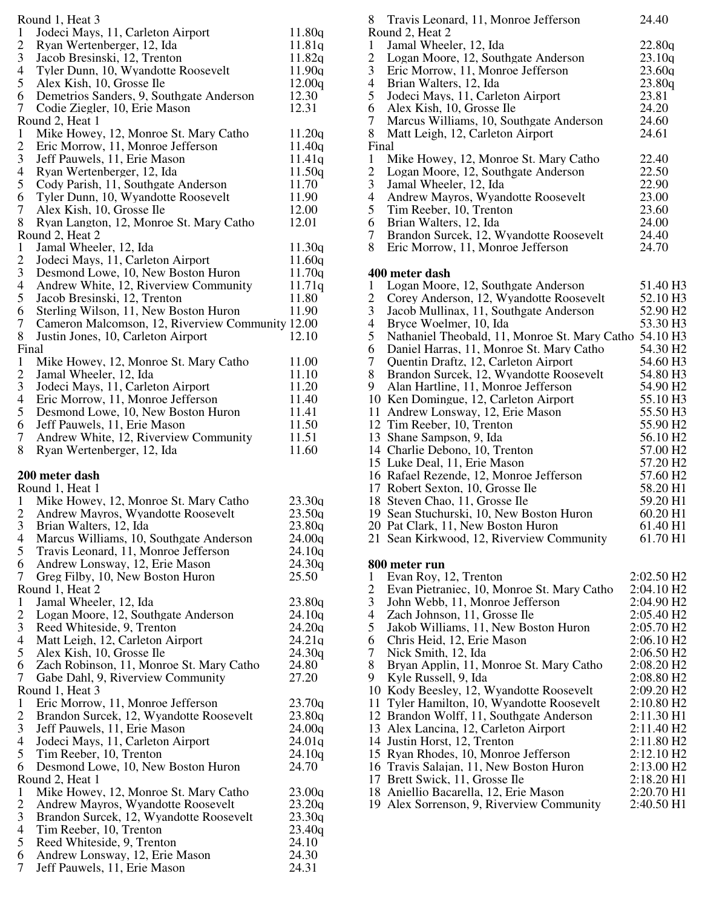| 8<br>Round 1, Heat 3     |                                                                       |                                   |  |  |  |
|--------------------------|-----------------------------------------------------------------------|-----------------------------------|--|--|--|
| 1                        | Jodeci Mays, 11, Carleton Airport                                     | $\mathbf R$<br>11.80q             |  |  |  |
| $\overline{c}$           | Ryan Wertenberger, 12, Ida                                            | $\mathbf{1}$<br>11.81g            |  |  |  |
| 3                        | Jacob Bresinski, 12, Trenton                                          | 11.82q                            |  |  |  |
| 4                        | Tyler Dunn, 10, Wyandotte Roosevelt                                   | $\frac{2}{3}$<br>11.90q           |  |  |  |
| 5                        | Alex Kish, 10, Grosse Ile                                             | $\overline{4}$<br>12.00q          |  |  |  |
| 6                        | Demetrios Sanders, 9, Southgate Anderson                              | 5<br>12.30                        |  |  |  |
| 7                        | Codie Ziegler, 10, Erie Mason                                         | 6<br>12.31                        |  |  |  |
|                          | Round 2, Heat 1                                                       | $\overline{7}$                    |  |  |  |
| $\mathbf{1}$             | Mike Howey, 12, Monroe St. Mary Catho                                 | 8<br>11.20q                       |  |  |  |
| $\overline{c}$           | Eric Morrow, 11, Monroe Jefferson                                     | $\mathbf F$<br>11.40q             |  |  |  |
| 3                        | Jeff Pauwels, 11, Erie Mason                                          | 11.41q<br>$\mathbf{1}$            |  |  |  |
| $\overline{\mathcal{A}}$ | Ryan Wertenberger, 12, Ida                                            | 11.50q                            |  |  |  |
| 5                        | Cody Parish, 11, Southgate Anderson                                   | $\frac{2}{3}$<br>11.70            |  |  |  |
| 6                        | Tyler Dunn, 10, Wyandotte Roosevelt                                   | $\overline{4}$<br>11.90           |  |  |  |
| $\tau$                   | Alex Kish, 10, Grosse Ile                                             | 5<br>12.00                        |  |  |  |
| 8                        | Ryan Langton, 12, Monroe St. Mary Catho                               | 6<br>12.01                        |  |  |  |
|                          | Round 2, Heat 2                                                       | $\overline{7}$                    |  |  |  |
| $\mathbf{1}$             | Jamal Wheeler, 12, Ida                                                | 8<br>11.30q                       |  |  |  |
| 2                        | Jodeci Mays, 11, Carleton Airport                                     | 11.60q                            |  |  |  |
| 3                        | Desmond Lowe, 10, New Boston Huron                                    | 11.70q<br>$\overline{\mathbf{4}}$ |  |  |  |
| $\overline{\mathcal{A}}$ | Andrew White, 12, Riverview Community                                 | $\mathbf{1}$<br>11.71q            |  |  |  |
| 5                        | Jacob Bresinski, 12, Trenton                                          | $\overline{c}$<br>11.80           |  |  |  |
| 6                        | Sterling Wilson, 11, New Boston Huron                                 | 3<br>11.90                        |  |  |  |
| $\tau$                   | Cameron Malcomson, 12, Riverview Community 12.00                      | $\overline{4}$                    |  |  |  |
| 8                        |                                                                       | 5<br>12.10                        |  |  |  |
| Final                    | Justin Jones, 10, Carleton Airport                                    | 6                                 |  |  |  |
| $\mathbf{1}$             |                                                                       | $\overline{7}$                    |  |  |  |
| $\overline{c}$           | Mike Howey, 12, Monroe St. Mary Catho                                 | 11.00<br>8<br>11.10               |  |  |  |
| $\mathfrak{Z}$           | Jamal Wheeler, 12, Ida                                                | 9<br>11.20                        |  |  |  |
|                          | Jodeci Mays, 11, Carleton Airport                                     | $\mathbf{1}$<br>11.40             |  |  |  |
| 4<br>5                   | Eric Morrow, 11, Monroe Jefferson                                     | 11.41                             |  |  |  |
|                          | Desmond Lowe, 10, New Boston Huron                                    | $\mathbf{1}$<br>$\,1\,$           |  |  |  |
| 6<br>$\tau$              | Jeff Pauwels, 11, Erie Mason<br>Andrew White, 12, Riverview Community | 11.50<br>$\,1\,$<br>11.51         |  |  |  |
| 8                        | Ryan Wertenberger, 12, Ida                                            | 11.60<br>$\mathbf{1}$             |  |  |  |
|                          |                                                                       | $\mathbf{1}$                      |  |  |  |
|                          | 200 meter dash                                                        | $\mathbf{1}$                      |  |  |  |
|                          | Round 1, Heat 1                                                       | $\mathbf{1}$                      |  |  |  |
| 1                        | Mike Howey, 12, Monroe St. Mary Catho                                 | $\mathbf{1}$<br>23.30q            |  |  |  |
| 2                        | Andrew Mayros, Wyandotte Roosevelt                                    | $\mathbf{1}$<br>23.50q            |  |  |  |
| 3                        | Brian Walters, 12, Ida                                                | 23.80q<br>$\overline{c}$          |  |  |  |
| 4                        | Marcus Williams, 10, Southgate Anderson                               | $\overline{c}$<br>24.00q          |  |  |  |
| 5                        | Travis Leonard, 11, Monroe Jefferson                                  | 24.10q                            |  |  |  |
| 6                        | Andrew Lonsway, 12, Erie Mason                                        | 24.30q<br>8                       |  |  |  |
| 7                        | Greg Filby, 10, New Boston Huron                                      | 25.50<br>$\mathbf{1}$             |  |  |  |
|                          | Round 1, Heat 2                                                       |                                   |  |  |  |
| $\mathbf{1}$             | Jamal Wheeler, 12, Ida                                                | $\frac{2}{3}$<br>23.80q           |  |  |  |
| 2                        | Logan Moore, 12, Southgate Anderson                                   | $\overline{4}$<br>24.10q          |  |  |  |
| 3                        | Reed Whiteside, 9, Trenton                                            | 5<br>24.20q                       |  |  |  |
| 4                        | Matt Leigh, 12, Carleton Airport                                      | 6<br>24.21q                       |  |  |  |
| 5                        | Alex Kish, 10, Grosse Ile                                             | $\overline{7}$<br>24.30q          |  |  |  |
| 6                        | Zach Robinson, 11, Monroe St. Mary Catho                              | 8<br>24.80                        |  |  |  |
| 7                        | Gabe Dahl, 9, Riverview Community                                     | 9<br>27.20                        |  |  |  |
|                          | Round 1, Heat 3                                                       | $\mathbf{1}$                      |  |  |  |
| $\mathbf{1}$             | Eric Morrow, 11, Monroe Jefferson                                     | $\mathbf{1}$<br>23.70q            |  |  |  |
| $\mathbf{2}$             | Brandon Surcek, 12, Wyandotte Roosevelt                               | 23.80q<br>$\mathbf{1}$            |  |  |  |
| 3                        | Jeff Pauwels, 11, Erie Mason                                          | 24.00q<br>$\mathbf{1}$            |  |  |  |
| $\overline{\mathcal{A}}$ | Jodeci Mays, 11, Carleton Airport                                     | $\mathbf{1}$<br>24.01q            |  |  |  |
| 5                        | Tim Reeber, 10, Trenton                                               | $\mathbf{1}$<br>24.10q            |  |  |  |
| 6                        |                                                                       |                                   |  |  |  |
|                          |                                                                       |                                   |  |  |  |
|                          | Desmond Lowe, 10, New Boston Huron                                    | 24.70<br>$\mathbf{1}$             |  |  |  |
|                          | Round 2, Heat 1                                                       | $\mathbf{1}$                      |  |  |  |
| 1                        | Mike Howey, 12, Monroe St. Mary Catho                                 | $\mathbf{1}$<br>23.00q            |  |  |  |
| $\overline{2}$           | Andrew Mayros, Wyandotte Roosevelt                                    | 23.20q<br>$\mathbf{1}$            |  |  |  |
| 3                        | Brandon Surcek, 12, Wyandotte Roosevelt                               | 23.30q                            |  |  |  |
| $\overline{\mathcal{A}}$ | Tim Reeber, 10, Trenton                                               | 23.40q                            |  |  |  |
| 5<br>6                   | Reed Whiteside, 9, Trenton                                            | 24.10<br>24.30                    |  |  |  |
| $\overline{7}$           | Andrew Lonsway, 12, Erie Mason<br>Jeff Pauwels, 11, Erie Mason        | 24.31                             |  |  |  |

| 8                        | Travis Leonard, 11, Monroe Jefferson                   | 24.40                    |  |
|--------------------------|--------------------------------------------------------|--------------------------|--|
|                          | Round 2, Heat 2                                        |                          |  |
| $\mathbf{1}$             | Jamal Wheeler, 12, Ida                                 | 22.80q                   |  |
| $\overline{c}$           | Logan Moore, 12, Southgate Anderson                    | 23.10q                   |  |
| 3                        | Eric Morrow, 11, Monroe Jefferson                      | 23.60q                   |  |
| $\overline{4}$           | Brian Walters, 12, Ida                                 | 23.80q                   |  |
| 5                        | Jodeci Mays, 11, Carleton Airport                      | 23.81                    |  |
| 6                        | Alex Kish, 10, Grosse Ile                              | 24.20                    |  |
| 7                        | Marcus Williams, 10, Southgate Anderson                | 24.60                    |  |
| 8                        | Matt Leigh, 12, Carleton Airport                       | 24.61                    |  |
| Final                    |                                                        |                          |  |
| $\mathbf{1}$             | Mike Howey, 12, Monroe St. Mary Catho                  | 22.40                    |  |
| $\overline{c}$           | Logan Moore, 12, Southgate Anderson                    | 22.50                    |  |
| $\mathfrak{Z}$           | Jamal Wheeler, 12, Ida                                 | 22.90                    |  |
| $\overline{4}$           | Andrew Mayros, Wyandotte Roosevelt                     | 23.00                    |  |
| 5                        | Tim Reeber, 10, Trenton                                | 23.60                    |  |
| 6                        | Brian Walters, 12, Ida                                 | 24.00                    |  |
| 7                        | Brandon Surcek, 12, Wyandotte Roosevelt                | 24.40                    |  |
| 8                        | Eric Morrow, 11, Monroe Jefferson                      | 24.70                    |  |
|                          |                                                        |                          |  |
|                          | 400 meter dash                                         |                          |  |
| $\mathbf{1}$             | Logan Moore, 12, Southgate Anderson                    | 51.40 H3                 |  |
| $\overline{c}$           | Corey Anderson, 12, Wyandotte Roosevelt                | 52.10 H3                 |  |
| 3                        | Jacob Mullinax, 11, Southgate Anderson                 | 52.90 H <sub>2</sub>     |  |
| $\overline{\mathcal{A}}$ | Bryce Woelmer, 10, Ida                                 | 53.30 H3                 |  |
| 5                        | Nathaniel Theobald, 11, Monroe St. Mary Catho 54.10 H3 |                          |  |
| 6                        | Daniel Harras, 11, Monroe St. Mary Catho               | 54.30 H <sub>2</sub>     |  |
| 7                        | Quentin Draftz, 12, Carleton Airport                   | 54.60 H3                 |  |
| 8                        | Brandon Surcek, 12, Wyandotte Roosevelt                | 54.80 H3                 |  |
| 9                        | Alan Hartline, 11, Monroe Jefferson                    | 54.90 H <sub>2</sub>     |  |
|                          | 10 Ken Domingue, 12, Carleton Airport                  | 55.10 H3                 |  |
|                          | 11 Andrew Lonsway, 12, Erie Mason                      | 55.50 H3                 |  |
|                          | 12 Tim Reeber, 10, Trenton                             | 55.90 H <sub>2</sub>     |  |
|                          | 13 Shane Sampson, 9, Ida                               | 56.10 H <sub>2</sub>     |  |
|                          | 14 Charlie Debono, 10, Trenton                         | 57.00 H <sub>2</sub>     |  |
|                          | 15 Luke Deal, 11, Erie Mason                           | 57.20 H <sub>2</sub>     |  |
|                          | 16 Rafael Rezende, 12, Monroe Jefferson                | 57.60 H <sub>2</sub>     |  |
|                          | 17 Robert Sexton, 10, Grosse Ile                       | 58.20 H1                 |  |
|                          | 18 Steven Chao, 11, Grosse Ile                         | 59.20 H1                 |  |
|                          | 19 Sean Stuchurski, 10, New Boston Huron               | 60.20 H1                 |  |
|                          | 20 Pat Clark, 11, New Boston Huron                     | 61.40 H1                 |  |
|                          | 21 Sean Kirkwood, 12, Riverview Community              | 61.70 H1                 |  |
|                          |                                                        |                          |  |
|                          | 800 meter run                                          |                          |  |
| $\mathbf{1}$             | Evan Roy, 12, Trenton                                  | $2:02.50$ H <sub>2</sub> |  |
| $\overline{c}$           | Evan Pietraniec, 10, Monroe St. Mary Catho             | 2:04.10 H <sub>2</sub>   |  |
| 3                        | John Webb, 11, Monroe Jefferson                        | 2:04.90 H <sub>2</sub>   |  |
| 4                        | Zach Johnson, 11, Grosse Ile                           | 2:05.40 H <sub>2</sub>   |  |
| 5                        | Jakob Williams, 11, New Boston Huron                   | 2:05.70 H <sub>2</sub>   |  |
| 6                        | Chris Heid, 12, Erie Mason                             | 2:06.10 H2               |  |
| 7                        | Nick Smith, 12, Ida                                    | 2:06.50 H2               |  |
| 8                        | Bryan Applin, 11, Monroe St. Mary Catho                | 2:08.20 H <sub>2</sub>   |  |
| 9                        | Kyle Russell, 9, Ida                                   | 2:08.80 H <sub>2</sub>   |  |
|                          | 10 Kody Beesley, 12, Wyandotte Roosevelt               | 2:09.20 H <sub>2</sub>   |  |
|                          | 11 Tyler Hamilton, 10, Wyandotte Roosevelt             | 2:10.80 H <sub>2</sub>   |  |
|                          | 12 Brandon Wolff, 11, Southgate Anderson               | 2:11.30 H1               |  |
|                          | 13 Alex Lancina, 12, Carleton Airport                  | 2:11.40 H2               |  |
|                          | 14 Justin Horst, 12, Trenton                           | 2:11.80 H <sub>2</sub>   |  |
|                          | 15 Ryan Rhodes, 10, Monroe Jefferson                   | 2:12.10 H <sub>2</sub>   |  |
|                          | 16 Travis Salajan, 11, New Boston Huron                | 2:13.00 H <sub>2</sub>   |  |
|                          | 17 Brett Swick, 11, Grosse Ile                         | 2:18.20 H1               |  |
|                          | 18 Aniellio Bacarella, 12, Erie Mason                  | 2:20.70 H1               |  |
|                          | 19 Alex Sorrenson, 9, Riverview Community              | 2:40.50 H1               |  |
|                          |                                                        |                          |  |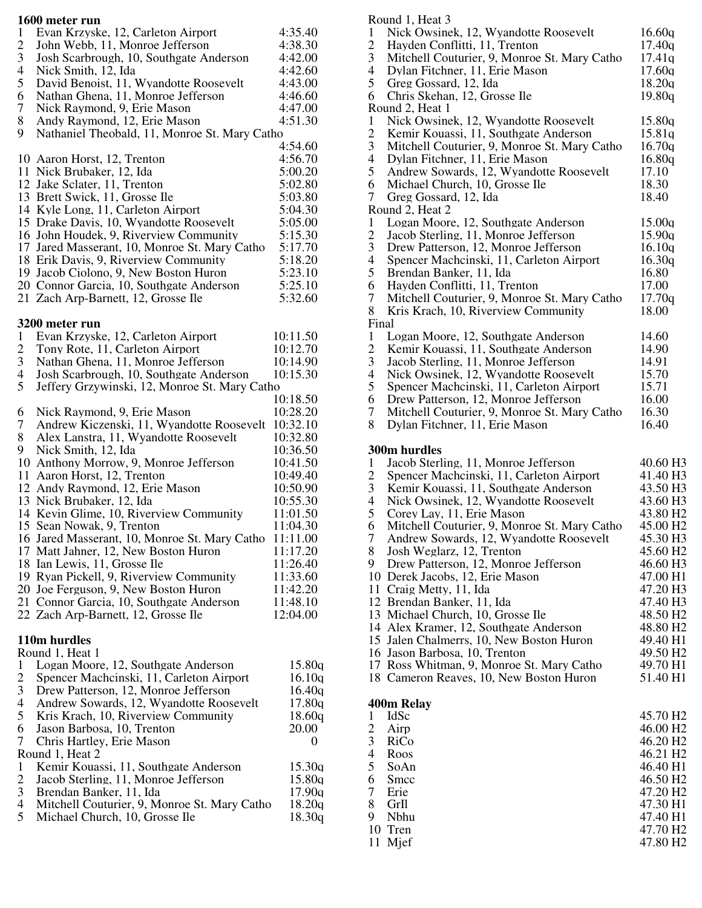|                         | 1600 meter run                                     |          |
|-------------------------|----------------------------------------------------|----------|
| 1                       | Evan Krzyske, 12, Carleton Airport                 | 4:35.40  |
| $\overline{c}$          | John Webb, 11, Monroe Jefferson                    | 4:38.30  |
| 3                       | Josh Scarbrough, 10, Southgate Anderson            | 4:42.00  |
| 4                       | Nick Smith, 12, Ida                                | 4:42.60  |
| 5                       | David Benoist, 11, Wyandotte Roosevelt             | 4:43.00  |
| 6                       | Nathan Ghena, 11, Monroe Jefferson                 | 4:46.60  |
| 7                       | Nick Raymond, 9, Erie Mason                        | 4:47.00  |
| 8                       | Andy Raymond, 12, Erie Mason                       | 4:51.30  |
| 9                       | Nathaniel Theobald, 11, Monroe St. Mary Catho      |          |
|                         |                                                    | 4:54.60  |
|                         | 10 Aaron Horst, 12, Trenton                        | 4:56.70  |
|                         | 11 Nick Brubaker, 12, Ida                          | 5:00.20  |
|                         | 12 Jake Sclater, 11, Trenton                       |          |
|                         |                                                    | 5:02.80  |
|                         | 13 Brett Swick, 11, Grosse Ile                     | 5:03.80  |
|                         | 14 Kyle Long, 11, Carleton Airport                 | 5:04.30  |
|                         | 15 Drake Davis, 10, Wyandotte Roosevelt            | 5:05.00  |
|                         | 16 John Houdek, 9, Riverview Community             | 5:15.30  |
|                         | 17 Jared Masserant, 10, Monroe St. Mary Catho      | 5:17.70  |
|                         | 18 Erik Davis, 9, Riverview Community              | 5:18.20  |
|                         | 19 Jacob Ciolono, 9, New Boston Huron              | 5:23.10  |
|                         | 20 Connor Garcia, 10, Southgate Anderson           | 5:25.10  |
|                         | 21 Zach Arp-Barnett, 12, Grosse Ile                | 5:32.60  |
|                         |                                                    |          |
|                         | 3200 meter run                                     |          |
| $\mathbf{1}$            | Evan Krzyske, 12, Carleton Airport                 | 10:11.50 |
| $\overline{c}$          | Tony Rote, 11, Carleton Airport                    | 10:12.70 |
| 3                       | Nathan Ghena, 11, Monroe Jefferson                 | 10:14.90 |
| 4                       | Josh Scarbrough, 10, Southgate Anderson            | 10:15.30 |
| 5                       | Jeffery Grzywinski, 12, Monroe St. Mary Catho      |          |
|                         |                                                    | 10:18.50 |
| 6                       | Nick Raymond, 9, Erie Mason                        | 10:28.20 |
| 7                       | Andrew Kiczenski, 11, Wyandotte Roosevelt 10:32.10 |          |
| 8                       | Alex Lanstra, 11, Wyandotte Roosevelt              | 10:32.80 |
|                         |                                                    |          |
| 9                       | Nick Smith, 12, Ida                                | 10:36.50 |
|                         | 10 Anthony Morrow, 9, Monroe Jefferson             | 10:41.50 |
|                         | 11 Aaron Horst, 12, Trenton                        | 10:49.40 |
|                         | 12 Andy Raymond, 12, Erie Mason                    | 10:50.90 |
|                         | 13 Nick Brubaker, 12, Ida                          | 10:55.30 |
|                         | 14 Kevin Glime, 10, Riverview Community            | 11:01.50 |
|                         | 15 Sean Nowak, 9, Trenton                          | 11:04.30 |
|                         | 16 Jared Masserant, 10, Monroe St. Mary Catho      | 11:11.00 |
|                         | 17 Matt Jahner, 12, New Boston Huron               | 11:17.20 |
|                         | 18 Ian Lewis, 11, Grosse Ile                       | 11:26.40 |
|                         | 19 Ryan Pickell, 9, Riverview Community            | 11:33.60 |
|                         | 20 Joe Ferguson, 9, New Boston Huron               | 11:42.20 |
|                         | 21 Connor Garcia, 10, Southgate Anderson           | 11:48.10 |
|                         | 22 Zach Arp-Barnett, 12, Grosse Ile                | 12:04.00 |
|                         |                                                    |          |
|                         | 110m hurdles                                       |          |
|                         | Round 1, Heat 1                                    |          |
| $\mathbf{1}$            | Logan Moore, 12, Southgate Anderson                | 15.80q   |
| $\overline{c}$          | Spencer Machcinski, 11, Carleton Airport           | 16.10q   |
| 3                       | Drew Patterson, 12, Monroe Jefferson               | 16.40q   |
| 4                       | Andrew Sowards, 12, Wyandotte Roosevelt            | 17.80q   |
| 5                       | Kris Krach, 10, Riverview Community                | 18.60q   |
| 6                       | Jason Barbosa, 10, Trenton                         | 20.00    |
| 7                       | Chris Hartley, Erie Mason                          | 0        |
|                         | Round 1, Heat 2                                    |          |
| $\mathbf{1}$            | Kemir Kouassi, 11, Southgate Anderson              | 15.30q   |
| $\overline{\mathbf{c}}$ | Jacob Sterling, 11, Monroe Jefferson               | 15.80q   |
| 3                       | Brendan Banker, 11, Ida                            | 17.90q   |
| 4                       | Mitchell Couturier, 9, Monroe St. Mary Catho       | 18.20q   |
| 5                       | Michael Church, 10, Grosse Ile                     | 18.30q   |
|                         |                                                    |          |
|                         |                                                    |          |

|                          | Round 1, Heat 3                              |                      |
|--------------------------|----------------------------------------------|----------------------|
| $\mathbf{1}$             | Nick Owsinek, 12, Wyandotte Roosevelt        | 16.60q               |
| $\overline{c}$           | Hayden Conflitti, 11, Trenton                | 17.40q               |
| $\mathfrak{Z}$           | Mitchell Couturier, 9, Monroe St. Mary Catho | 17.41q               |
| $\overline{4}$           | Dylan Fitchner, 11, Erie Mason               | 17.60q               |
| 5                        | Greg Gossard, 12, Ida                        | 18.20q               |
| 6                        | Chris Skehan, 12, Grosse Ile                 | 19.80q               |
|                          | Round 2, Heat 1                              |                      |
| $\mathbf{1}$             | Nick Owsinek, 12, Wyandotte Roosevelt        | 15.80q               |
| $\overline{c}$           | Kemir Kouassi, 11, Southgate Anderson        | 15.81q               |
| 3                        | Mitchell Couturier, 9, Monroe St. Mary Catho | 16.70q               |
| $\overline{4}$           | Dylan Fitchner, 11, Erie Mason               | 16.80q               |
| 5                        | Andrew Sowards, 12, Wyandotte Roosevelt      | 17.10                |
| 6                        | Michael Church, 10, Grosse Ile               | 18.30                |
| 7                        | Greg Gossard, 12, Ida                        | 18.40                |
|                          | Round 2, Heat 2                              |                      |
| 1                        | Logan Moore, 12, Southgate Anderson          | 15.00q               |
| $\mathbf{2}$             | Jacob Sterling, 11, Monroe Jefferson         | 15.90q               |
| $\mathfrak{Z}$           | Drew Patterson, 12, Monroe Jefferson         | 16.10q               |
| $\overline{4}$           | Spencer Machcinski, 11, Carleton Airport     | 16.30q               |
| 5                        | Brendan Banker, 11, Ida                      | 16.80                |
| 6                        | Hayden Conflitti, 11, Trenton                | 17.00                |
| 7                        | Mitchell Couturier, 9, Monroe St. Mary Catho | 17.70q               |
| 8                        | Kris Krach, 10, Riverview Community          | 18.00                |
| Final                    |                                              |                      |
| $\mathbf{1}$             | Logan Moore, 12, Southgate Anderson          | 14.60                |
| $\boldsymbol{2}$         | Kemir Kouassi, 11, Southgate Anderson        | 14.90                |
| $\mathfrak{Z}$           |                                              | 14.91                |
| $\overline{\mathcal{A}}$ | Jacob Sterling, 11, Monroe Jefferson         |                      |
| 5                        | Nick Owsinek, 12, Wyandotte Roosevelt        | 15.70                |
|                          | Spencer Machcinski, 11, Carleton Airport     | 15.71                |
| 6                        | Drew Patterson, 12, Monroe Jefferson         | 16.00                |
| 7                        | Mitchell Couturier, 9, Monroe St. Mary Catho | 16.30                |
| 8                        | Dylan Fitchner, 11, Erie Mason               | 16.40                |
|                          |                                              |                      |
|                          | 300m hurdles                                 |                      |
| $\mathbf{1}$             | Jacob Sterling, 11, Monroe Jefferson         | 40.60 H3             |
| $\overline{c}$           | Spencer Machcinski, 11, Carleton Airport     | 41.40 H3             |
| $\mathfrak{Z}$           | Kemir Kouassi, 11, Southgate Anderson        | 43.50 H3             |
| $\overline{\mathcal{A}}$ | Nick Owsinek, 12, Wyandotte Roosevelt        | 43.60 H <sub>3</sub> |
| 5                        | Corey Lay, 11, Erie Mason                    | 43.80 H <sub>2</sub> |
| 6                        | Mitchell Couturier, 9, Monroe St. Mary Catho | 45.00 H <sub>2</sub> |
| 7                        | Andrew Sowards, 12, Wyandotte Roosevelt      | 45.30 H3             |
| 8                        | Josh Weglarz, 12, Trenton                    | 45.60 H <sub>2</sub> |
| 9                        | Drew Patterson, 12, Monroe Jefferson         | 46.60 H3             |
|                          | 10 Derek Jacobs, 12, Erie Mason              | 47.00 H1             |
|                          | 11 Craig Metty, 11, Ida                      | 47.20 H3             |
|                          | 12 Brendan Banker, 11, Ida                   | 47.40 H3             |
|                          | 13 Michael Church, 10, Grosse Ile            | 48.50 H <sub>2</sub> |
|                          | 14 Alex Kramer, 12, Southgate Anderson       | 48.80 H <sub>2</sub> |
|                          | 15 Jalen Chalmerrs, 10, New Boston Huron     | 49.40 H1             |
|                          | 16 Jason Barbosa, 10, Trenton                | 49.50 H <sub>2</sub> |
|                          | 17 Ross Whitman, 9, Monroe St. Mary Catho    | 49.70 H <sub>1</sub> |
|                          | 18 Cameron Reaves, 10, New Boston Huron      | 51.40 H1             |
|                          |                                              |                      |
|                          | 400m Relay                                   |                      |
| $\mathbf{1}$             | IdSc                                         | 45.70 H <sub>2</sub> |
| $\overline{2}$           | Airp                                         | 46.00 H2             |
| 3                        | RiCo                                         | 46.20 H <sub>2</sub> |
| 4                        | Roos                                         | 46.21 H <sub>2</sub> |
| 5                        | SoAn                                         | 46.40 H1             |
| 6                        | Smcc                                         | 46.50 H <sub>2</sub> |
| 7                        | Erie                                         | 47.20 H <sub>2</sub> |
| 8                        | GrIl                                         | 47.30 H1             |
| 9                        | Nbhu                                         | 47.40 H1             |

 Tren 47.70 H2 11 Mjef 47.80 H2